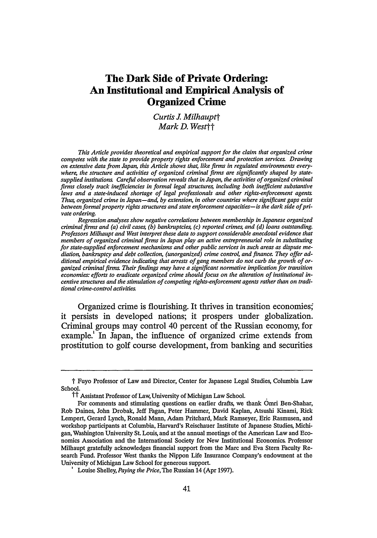## **The Dark Side of Private Ordering: An Institutional and Empirical Analysis of Organized Crime**

*Curtis J. Milhauptt Mark D. Westt*

*This Article provides theoretical and empirical support for the claim that organized crime competes with the state to provide property rights enforcement and protection services. Drawing on extensive data from Japan, this Article shows tha4 like firms in regulated environments everywhere, the structure and activities of organized criminal firms are significantly shaped by statesupplied institutions Carefid observation reveals that in Japan, the activities of organized criminal firms closely track inefficiencies in formal legal structures, including both inefficient substantive laws and a state-induced shortage of legal professionals and other rights-enforcement agents. Thus organized crime in Japan-and, by extension, in other countries where significant gaps exist between formal property rights structures and state enforcement capacities-is the dark side of private ordering.*

*Regression analyses show negative correlations between membership in Japanese organized criminal firms and (a) civil cases, (b) bankruptcies (c) reported crimes, and (d) loans outstanding. Professors Milhaupt and West interpret these data to support considerable anecdotal evidence that members of organized criminal firms in Japan play an active entrepreneurial role in substituting for state-supplied enforcement mechanisms and other public services in such areas as dispute mediation, bankruptcy and debt collection, (unorganized) crime control, and finance They offer additional empirical evidence indicating that arrests of gang members do not curb the growth of organized criminal firm Their findings may have a significant normative implication for transition economies: efforts to eradicate organized crime should focus on the alteration of institutional incentive structures and the stimulation of competing rights-enforcement agents rather than on traditional crime-control activities*

Organized crime is flourishing. It thrives in transition economies, it persists in developed nations; it prospers under globalization. Criminal groups may control 40 percent of the Russian economy, for example.! In Japan, the influence of organized crime extends from prostitution to golf course development, from banking and securities

t Fuyo Professor of Law and Director, Center for Japanese Legal Studies, Columbia Law School.

<sup>&</sup>lt;sup>11</sup> Assistant Professor of Law, University of Michigan Law School.

For comments and stimulating questions on earlier drafts, we thank Omri Ben-Shahar, Rob Daines, John Drobak, Jeff Fagan, Peter Hammer, David Kaplan, Atsushi Kinami, Rick Lempert, Gerard Lynch, Ronald Mann, Adam Pritchard, Mark Ramseyer, Eric Rasmusen, and workshop participants at Columbia, Harvard's Reischauer Institute of Japanese Studies, Michigan, Washington University St. Louis, and at the annual meetings of the American Law and Economics Association and the International Society for New Institutional Economics. Professor Milhaupt gratefully acknowledges financial support from the Marc and Eva Stern Faculty Research Fund. Professor West thanks the Nippon Life Insurance Company's endowment at the University of Michigan Law School for generous support.

**<sup>&#</sup>x27;** Louise Shelley, *Paying the Price,* The Russian 14 (Apr 1997).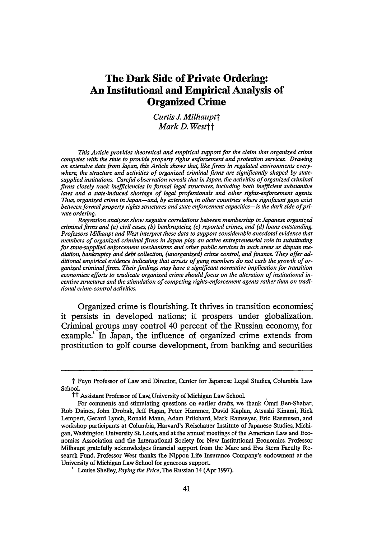to disaster relief.<sup>2</sup> In the United States, mob developments continue to make front-page headlines.<sup>3</sup> In recognition of the severity of the problem, both the United Nations and the **G8** have begun to devote resources to combating international organized crime.'

**Why** does organized crime emerge, and what function does it play in an economy? Despite a growing recognition of the vulnerability of developing societies and emerging democracies to this problem, and continued study of the phenomenon in mature economies, no consensus exists even on the definition of organized crime, **<sup>5</sup>**much less on the

**'** See, for example, Raymond Bonner with Timothy L. O'Brien, *Activity at Bank Raises Suspicions of Russian Mob Tie,* NY Times **Al** (Aug 19,1999); Joseph Berger, *Gotti Pleads Guilty to*

See M. Cherif Bassiouni and Eduardo Vetere, eds, *Organized Crime: A Compilation of UN Documents 1975-1998* (Transnational 1998); Diane Coyle, *The Dark Side of Globalisation* Where the Black Economy Thrives: Diane Coyle on Why the G8 is Worried About Crime, The Independent 24 (May 14,1998).

Academic definitions abound. One leading organized crime text defines organized crime merely as "a nonideological enterprise that involves a number of persons in close social interaction, organized on a hierarchical basis for the purpose of securing profit and power by engaging in illegal and legal activities." Howard Abadinsky, *Organized Crime* 7 (Nelson-Hall 2d ed 1985); another posits that "[o]rganized criminal groups are simply business organizations operating under many different management structures and dealing in illegal products." Denny E Pace and Jimmie C. Styles, *Organized Crime: Concepts and Control* 21 (Prentice-Hall 2d ed 1983). Richard Posner defines organized crime as "criminals organized into illegal firms **...** operating in such criminal fields as loansharking, prostitution, gambling, and narcotics but also in legitimate fields as well, and employing violence and the corruption of police as key business methods." Richard A. Posner, *Economic Analysis of Law* 242 (Little, Brown 4th ed 1992). Diego Gambetta describes the Italian mafia as "that set of firms which **(1)** are active in the protection industry under a common trademark with recognizable features; (2) acknowledge one another as the legitimate suppliers of authentic mafioso protection; and (3) succeed in preventing the unauthorized use of their trademark by pirate firms." Diego Gambetta, *The Sicilian Mafia: The Business of Private Protection 155* (Harvard 1993).

Policymakers likewise disagree. Since 1992, the United Nations Economic and Social Council Commission on Crime Prevention and Criminal Justice has struggled without success toward a definition. See M. Cherif Bassiouni and Eduardo Vetere, *Towards Understanding Organized Crime and its Transnational Manifestations,* in Bassiouni and Vetere, eds, *Organized Crime: A Compilation of UN Documents 1975-1998* xxvii (cited in note 4) (distinguishing organized crime from other criminal groups and legitimate enterprises occasionally employing criminal means). In the U.S., the Racketeer-Influenced and Corrupt Organization Act (RICO), Organized Crime Control Act of 1970, Pub L No 91-452, 84 Stat 941, codified at 18 USC §§ 1961-68 (1994), the primary legal weapon against organized crime in the United States, contains no clear definition of its target. Although it initially included an amendment that would have criminalized membership in the "Mafia" or "La Cosa Nostra," see Organized Crime Control Act of 1970, **S** 30, 91st Cong, 2d Sess (Oct 7, 1970), in **116** Cong Rec H 35343 (Oct 7, 1970) (amendment proposed by Representative Biaggi), the amendment was eventually rejected, both on the grounds that it violated the Equal Protection Clause, and because it was an underinclusive definition of organized crime. Id at H 35344-46. See also Gerard E. Lynch, *RICO: The Crime of Being a Criminal, Parts I & II,* 87 Colum L Rev **661,** 685-86 (1987) (discussing the constitutional and political drawbacks of criminalizing "mafia" membership only); Gerard E. Lynch, *RICO: The Crime of Being a Criminal, Parts III & IV,* 87 Colum L Rev 920,937-45 (1987) (discussing "the enterprise

See, for example, Henry Sender, *Mafia Capitalism: Just the Tip of the Iceberg?,* Japan J 25 (1991).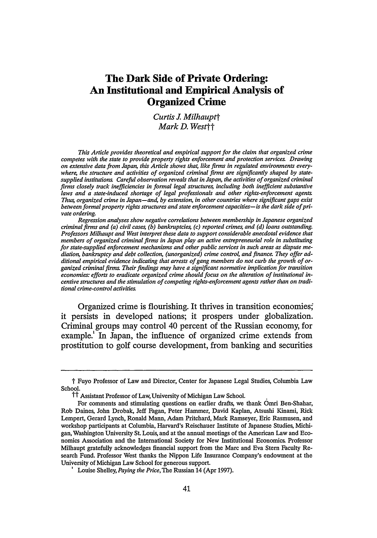more theoretically fundamental and practically significant questions. Without a richer understanding of the phenomenon, organized crime will continue to thrive because the roots of the problem will remain unexposed.

This Article draws on new institutional economics literature and extensive empirical analysis to show that the structure and activities of organized criminal groups are significantly shaped by the state. Organized crime, we argue, is the dark side of private ordering-an entrepreneurial response to inefficiencies in the property rights and enforcement framework supplied by the state.

A substantial literature has exposed the bright side of private ordering. Many scholars have shown that over a wide range of human activity, informal norms provide efficient and effective mechanisms to govern conduct. Occasionally a commentator will note that not all private ordering arrangements result in efficient norms, or that private ordering is subject to the same collective action problems that plague formal lawmaking processes.<sup>7</sup> These cautionary asides in the literature, however, are rare and have never been developed into a robust theory of the organized, private exploitation of defects in state structures. We seek to provide analytical and empirical support for such a theory by focusing on a simple fact: in order to be effective, private ordering often requires the participation of intermediaries who possess information, time, and skill-intermediaries we refer to as rights-enforcement agents and information agents. In the United States, these roles are typically filled by lawyers or other organized professionals, who, to borrow Ronald Gilson's famous phrase, function as "transaction cost engineers." When property rights and enforcement institutions are

offense").

**<sup>6</sup>**See, for example, Robert C. Ellickson, *Order Without Law: How Neighbors Settle Disputes* 280-83 (Harvard 1991) (concluding that value maximizing norms, not law, are central to social order); Mark D. West, *Legal Rules and Social Norms in Japan's Secret World of Sumo,* 26 J Legal Stud 165, 187 (1997) (demonstrating that private rules and norms can effectively be used to maximize wealth); Lisa Bernstein, *Opting Out of the Legal System: Extralegal Contractual Relations in the Diamond Industry,* 21 J Legal Stud 115, 157 (1992) (arguing that private dispute resolution in the diamond industry is superior to recourse to the legal system); Robert Cooter and Janet T. Landa, *Personal Versus Impersonal Trade: The Size of Trading Groups and Contract Law,* 4 Intl Rev L & Econ **15,** 21-22 (1984) (arguing that trading groups are a response to inefficient legal structures).

See Robert D. Cooter, *Decentralized Law for a Complex Economy: The Structural Approach to Adjudicating the New Law Merchant,* 144 U Pa L Rev 1643,1678-94 (1996) (describing "community failures"). See also Eric A. Posner, *Law, Economics and Inefficient Norms,* 144 U Pa L Rev 1697, 1698, 1705-10 (1996) (providing examples of inefficient norms).

**<sup>&#</sup>x27;** See Ronald J. Gilson, *Value Creation by Business Lawyers: Legal Skills and Asset Pricing,* 94 Yale L J 239,255 (1984) (arguing that "[l]awyers function as *transaction cost engineers,* devising efficient mechanisms which bridge the gap between capital asset pricing theory's hypothetical world of perfect markets and the less-than-perfect reality").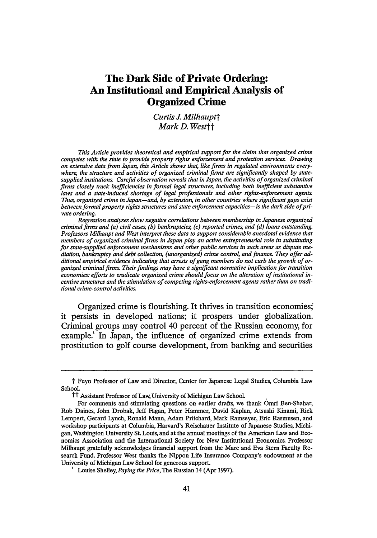[67:41

misaligned, however, these agents may emerge from sources operating outside the bounds of established legal and social norms. Illicit entrepreneurs, then, substitute for state-supplied or state-sanctioned public services, especially as alternative enforcers of property rights. This "dark-side private ordering," heretofore overlooked by theorists, provides a convincing explanation for the emergence and role of organized crime in both developed and developing economies.

To explore the linkage between state-sponsored institutions and illicit organizations, we provide an in-depth theoretical and empirical analysis of organized crime in Japan. Although caution is warranted when drawing general conclusions from the experience of a single country, Japan provides unusually fertile ground for such a study. Private ordering is often seen as a key component of Japanese policy success in such diverse areas as crime prevention, civil dispute resolution, and labor relations.<sup>9</sup> Counterintuitively, however, Japan shares important parallels with transition economies: it has an institutional environment rife with incentives for the creation of alternative (illicit) enforcement mechanisms and a very active network of organized criminal groups.<sup>10</sup> Yet unlike virtually any other country, Japan also provides a wealth of relevant but unexplored data on organized crime." As explored below, the Japanese experience offers insights into organized crime in environments as diverse as Russia and Sicily.

Multiple regression analysis of the data from Japan supports substantial anecdotal evidence that members of organized crime in that country play an active entrepreneurial role in substituting for statesupplied property rights and enforcement mechanisms in such areas as dispute mediation, real estate foreclosure, corporate monitoring, lending, and (unorganized) crime control. We offer additional empirical evidence suggesting that the success of organized crime prevention may rest more heavily on the design of state-supplied institutions than on traditional anti-crime strategies. Our empirical analysis thus supports a significant normative claim: To combat organized crime most

**<sup>&#</sup>x27;** See, for example, John Owen Haley, *The Spirit of Japanese Law* 38,79,134-39,199 (Georgia 1998).

**<sup>&</sup>quot;** See *Twelve Percent of Japanese Consider Mobsters a "Necessary Evil",* Agence France Presse (Apr 19, 1993) ("According to the Japanese police, the criminal underworld numbers about 90,000 members in 3,300 gangs.").

U.S. data on organized crime is surprisingly sparse. See, for example, David J. Fried, *Rationalizing Criminal Forfeiture,* 79 J Crim L & Criminol 328, 360-61 n 146 (1988) (noting "extreme scantiness and unreliability of the data available" and "extreme uncertainty of the data" about income attributable to crime). Data on **U.S.** street gangs vary widely as well. See, for example, G. David Curry, Richard A. Ball, and Robert J. Fox, *Gang Crime and Law Enforcement Record Keeping,* National Institute of Justice Research in Brief **I** (June 1994) (detailing problems in definitions, recording, and reporting of gang-related information).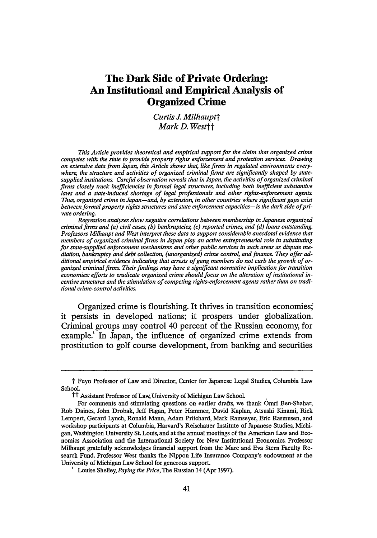effectively, a state should alter its institutional incentive structure and introduce additional rights-enforcement agents.

Although we rely on the Japanese experience for data, our discussion has more universal import. The state acts as an institutional  $\text{designer}^2$  in any economy, determining, among other things, which business activities will be criminalized and which will be actively encouraged. How the state performs in this capacity affects not only the development of legitimate organizations, but of illicit ones as well. In the spectrum of property fights structures and regulated business activities, Japan lies between the United States and more heavily statecontrolled systems such as the former Soviet Union." Each of these systems features its own brand of organized crime, reflecting the institutional environment in which it evolved." The universal point emerging from our study is that where the state fails to get the institutions "right," it invites dark-side private ordering to fill in the gaps."

**"** In the U.S., organized criminal firms-the mafia among others-have traditionally operated in black market and gray market activities, selling commodities and services that consumers want but that the state declares illegal (creating black markets for drugs or alcohol during Prohibition) or prices out of the market by inefficient regulation (creating gray markets in the garment or transportation industries). Organized crime firms flourished in Nevada until prostitution was legalized, and all over the U.S. under the Volstead Act during Prohibition. See, for example, Humbert **S.** Nelli, *The Business of Crime: Italians and Syndicate Crime in the United States* 143-78 (Oxford 1976) (describing the crime syndicates that flourished in the wake of the Eighteenth Amendment).

In the former Soviet Union, the state regulated virtually all economic activity through direct participation in the planning and production processes. Because so much economic activity was so heavily regulated, the activities of criminal firms in the Soviet Union were indistinguishable from the activities of firms that we would consider to be legitimate businesses in well functioning capitalist economies. See, for example, Stephen Handelman, *Comrade Criminal. Russia's New Mafiya* (Yale 1995) (noting that organized crime in the former Soviet Union controlled trade in "spare parts, automobiles, timber, caviar, and gems"). In post-Soviet Russia, organized crime filled the vacuum created by the disintegration of state control. See Louise I. Shelley, *Post-Soviet Organized Crime: A New Form of Authoritarianism,* 2 Transnational Organized Crime 122 (1996). As will be shown below, Japanese organized crime plays a role somewhere between that of its counterparts in the United States and Russia: neither operating exclusively in illegal territory nor substituting for a dysfunctional state apparatus.

Organized crime is more limited in the U.S. because the U.S. never went through the type of "overnight" property rights transformations that occurred in Japan and Russia. These rapid property rights developments created greater opportunities to exploit inefficiencies in state structures. Some systems compound the problem of weak property rights enforcement with weak government, which leads to public corruption rather than to privately organized crime. See Andrei Shleifer and Robert W. Vishny, *Corruption,* **108** Q J Econ 599,615 (1993) (concluding that a weak central government facilitates corrupt agencies and bureaucracies).

Masahiko Aoki, *The Japanese Firm as a System of Attributes: A Survey and a Research Agenda,* in Masahiko Aoki and Ronald Dore, eds, *The Japanese Firm: The Sources of Competitive Strength* 11,30 (Oxford 1994).

**<sup>&</sup>quot;** Curtis J. Milhaupt, *Property Rights in Firms,* 84 Va L Rev 1145,1166,1177-78 (1998) (arguing that Japan occupies a middle ground with respect to property rights and regulatory policy between the U.S. and South Korea).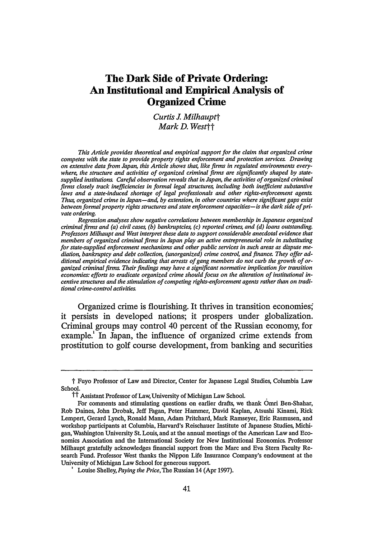To gain a better understanding of the role of organized crime in an economy, we adopt two heuristics. First, we use the term "organized criminal firms" to emphasize the fundamentally entrepreneurial role of organized crime. Second, as more fully developed below, we characterize the private enforcement activities of organized criminal firms as "illicit entrepreneurialism" because it takes place outside the bounds of state ordering, in the shadow of violence.

The Article proceeds as follows. In Part I, we survey the theory of organized crime, which is characterized by lack of agreement on fundamental principles and a shortage of empirical grounding. In Part II, we illustrate the close linkage between rights enforcement and organized crime in Japan in such areas as bankruptcy, property, debtorcreditor relations, and corporate law. Part III presents a formal model to test empirically the relationship between state institutions and illicit entrepreneurialism in Japan. Our regression analysis results are consistent with the theory that organized criminal firms in Japan substitute for state institutions in such key areas as dispute resolution, crime control, and finance. Part IV examines the implications of the Japanese experience and applies those lessons to economies in transition.

## I. ORGANIZED CRIME **THEORY**

The literature on organized crime displays a marked lack of consensus on fundamental issues. As noted above, there is little agreement even on a definition of organized crime, less still on the question of why the phenomenon exists. The result, as one commentator notes, "is a patchwork of ideas, only loosely related to each other and having little consequence for empirical research."<sup>6</sup>

Economic theory has traditionally emphasized the monopoly that organized crime enjoys over illegal products and services. Thus, criminals organize themselves into firms for the same reasons that "legitimate" firms organize: to reap economies of scale or monopoly rents.<sup>17</sup> Organized criminal firm monopolies tend to arise in the same ways as traditional monopolies -economies of scale may dictate that only one firm can effectively serve the market, small producers may merge, and barriers to entry may be created by government regulation and re-

**<sup>&</sup>quot;** Peter Reuter, *Research on American Organized Crime,* in Robert **J.** Kelly, Ko-Lin Chin, and Rufus Schatzberg, eds, *Handbook of Organized Crime in the United States* 91, **110** (Greenwood 1994).

**<sup>&</sup>quot;** Thomas C. Schelling, *Choice and Consequence* **162** (Harvard 1984).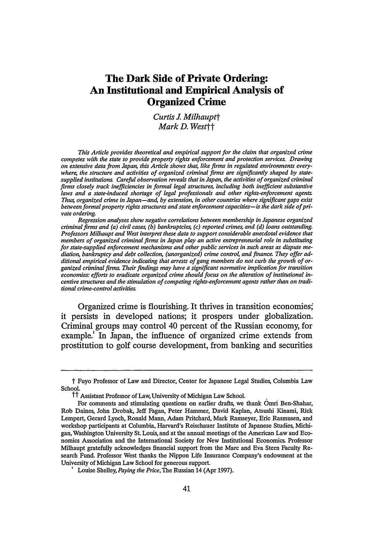strictions.<sup>8</sup> The primary means for achieving success, economists hold, is extortion.<sup>1</sup>

Sociological literature, by contrast, traditionally has focused on the cultural or ethnic linkages that dictate the structure and cohesiveness of organized crime groups, largely bypassing the more fundamental question of why such groups emerge. More recently, sociologists have argued that the primary market for organized crime services is in "unstable transactions in which trust is scarce and fragile,"<sup>20</sup> and, more generally, that organized criminal firms arise in societies characterized by a lack of trust.<sup>21</sup> Thus, for example, the rise in organized crime in Eastern Europe and Russia is explained as an outgrowth of Communism, which is said to have systematically destroyed trust in government.<sup>22</sup>

Neither approach, however, is wholly satisfying. First consider the sociologists' recent fascination with trust. Many of the services that organized criminal firms offer around the world involve not risky black or gray market transactions, but intervention in transactions that ought to be "stable," in that they are formally supported by the legal system-debt collection or labor dispute resolution, for example. Even more damaging to the proposed correlation between low trust and organized crime is the case of Japan, which no sociologist has managed to explain. Japan has extensive organized crime, yet Japan's social system is widely viewed as founded on trust. Francis Fukuyama, for instance, defines Japan as a "high-trust society" in which social capital is in abundant supply.<sup>23</sup> Cross-country empirical analyses of trust confirm

**<sup>&</sup>quot;** See John **E.** Kwoka, Jr. and Lawrence **J.** White, eds, *The Antitrust Revolution: Economics, Competition, and Policy* 9-10 (Oxford 3d ed 1999). " See Schelling, *Choice and Consequence* at 160-61 (cited in note 17) (stating that extortion

and criminal monopoly are the two types of businesses comprising racketeering).

**<sup>&#</sup>x27;** Gambetta, *The Sicilian Mafia* at 17 (cited in note 5). See also Donald Black, *Crime as Social Control,* 48 Am Soc Rev 34 (1983).

**<sup>&</sup>quot;** Gambetta, *The Sicilian Mafia* at 77 (cited in note 5). See also Diego Gambetta, *Mafia: The Price of Distrust,* in Diego Gambetta, ed, *Trust: Making and Breaking Cooperative Relations* 158, 158 (Basil Blackwell 1988).

See, for example, Federico Varese, *Is Sicily the Future of Russia? Private Protection and the Rise of the Russian Mafia,* 35 Archives Europtennes de Sociologie 224,225-26,257-58 (1994).

**<sup>&#</sup>x27;** Francis Fukuyama, *Trust The Social Virtues and the Creation of Prosperity* 26-28 (Free Press 1995). On the relationship of trust and social capital to institutions, see James S. Coleman, *Foundations of Social Theory* 300-06 (Belknap 1990) (arguing that social capital determines performance of societal institutions); Robert D. Putnam, *Making Democracy Work. Civic Tradition in Modem Italy* 174-76,184-85 (Princeton 1993) (same, focusing on differences between Northern and Southern Italy); Rafael La Porta, et al, *Trust in Large Organizations,* 87 Am Econ Rev 333, 337 (1997) (using World Values Survey data to show that "theories of trust hold up remarkably well when tested on a cross section of countries").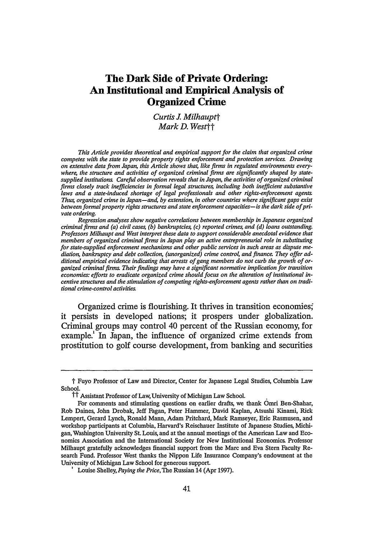that characterization and generally cast doubt on the utility of mistrust as a key explanatory variable in the origins of organized crime.<sup>24</sup>

Turn now to the traditional economic approach. Theorists have cast doubt both on the idea that organized crime relies primarily on extortion, and that monopoly is the best concept to understand the activities of organized criminals. In the past several years, observers have begun to change their perspective on the services provided **by** organized criminals and the relationship between organized crime and the state. Focusing on Sicily, for example, Diego Gambetta argues that organized criminals deal not in extortion, but in protection, including the protection of contracts in the form of dispute settlement. $\mathbb{R}^2$  Even more interestingly, he argues that rather than being a monopoly, organized crime competes with the state to provide this service.<sup>26</sup>

This recent turn in the literature is intriguing on several levels. First, it is consistent with an extensive body of literature emphasizing the entrepreneurial nature of organized crime and thus the general applicability of economic principles to firms engaged in illicit as well as legitimate activities.<sup> $\pi$ </sup> Second, it implicitly suggests that the state's

In two influential articles, Thomas Schelling proposed that market structures and economic principles generally applicable to all forms of organization apply to illegal markets con-

See, for example, World Values Study Group, World Values Survey, 1981-1984 and 1990- 1993 (ICPSR 6160) (1994), available online at <http://www.icpsr.umich.edu/cgi-bin/ archive.prl?path=ICPSR&num=6160> (visited Nov 6,1999) (covering 45 countries, 379 variables, and nearly 90,000 survey respondents). The survey reports responses to the question, "Generally speaking, would you say that most people can be trusted or that you can't be too careful in dealing with people?" According to our calculations, 52.5 percent of Japanese respondents answered that "you can't be too careful," compared with 47.4 percent in the **U.S.,** a mere 30.6 percent in Sweden, and relatively high 58.0 percent, 60.2 percent, and 61.9 percent figures in Russia, Mexico, and Italy, respectively. Although some general conclusions might be drawn from the high distrust in Italy and other countries that are often said to be plagued by organized crime, Japan's lower figure is more comparable to that of the U.S.

A recent study of World Values Survey data for twenty-three market economies finds greater evidence of trust in Japan. Stephen Knack and Philip Keefer examined what they term "trustworthiness," as measured by responses to questions on civic cooperation. Across societies, they found (unsurprisingly) positive correlations between trust and trustworthiness. Although Japan has relatively low "trust" scores, they found trustworthiness in Japan to be the third highest in the survey, well ahead of the Scandinavian countries and the U.S. Italy placed above the U.S as well. Stephen Knack and Philip Keefer, *Does Social Capital Have an Economic Payoff.? A Cross-Country Investigation,* 112 Q J Econ 1251, 1258-59, 1285 (1997). Compare Toshio Yamagishi, et al, *Uncertainty, Trust and Commitment Formation in the United States and Japan,* 104 *Am* **J** Soc 165 (1998) (finding statistically significant evidence that the level of general trust is higher in the U.S. than in Japan); Toshio Yamagishi, *Shinrai no Kōzō* [*The Anatomy of Trust*] 64-66 (Toyko 1998) (noting differences between natural trust ("lovers' commitment") and strategic trust to reduce transaction costs ("yakuza commitment")).

Gambetta, *The Sicilian Mafia* at 16-19 (cited in note 5). See Barbara Alexander, *The Rational Racketeer: Pasta Protection in Depression Era Chicago,* 40 **J** L & Econ 175, 184-85, 198 (1997) (arguing that the actual Depression era pasta racket in Chicago stands "in sharp contrast to Hollywood portrayals that depict gangsters as crude extortionists").

See Gambetta, *The Sicilian Mafia* at 80 (cited in note 5).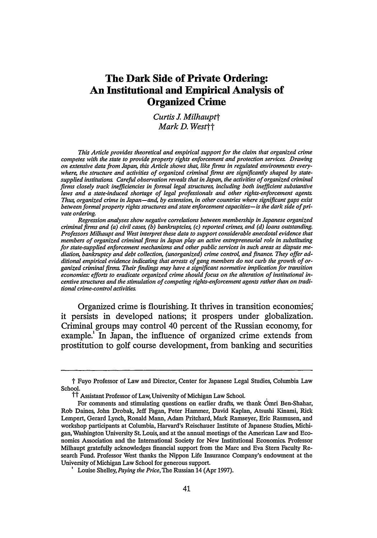institutional structure supplies incentives for illicit firms just as it does for legitimate enterprises; thus, firm adaptation is the central problem of economic organization in illegal as well as legal markets.<sup> $\overline{x}$ </sup> Finally, the stylized histories of regions as diverse as post-feudal Sicily and post-Soviet Russia, which Gambetta and others rely upon in developing their arguments, contain interesting parallels with Japanese history, suggesting that societies currently experiencing significant organized crime problems began from a common starting point." Even the U.S. experience with organized crime suggests a linkage between ineffective or ill-advised state structures and organized criminal activities.<sup>30</sup>

Institutional analysis-properly informed by empirical research-is a way to unite the insights provided by existing approaches to organized crime. As Gambetta posits with his theory of substitutes for state enforcement, and implicit in the economic ideas of firm organization, organized criminal firms often arise shortly after the historical establishment of formal property rights regimes.<sup>31</sup> Post-feudal Japan, for instance, like post-feudal Italy and post-Soviet Russia, is characterized by dramatic increases in formal property rights. Similar to these other countries, post-feudal Japan also is characterized by a weakness of complementary enforcement mechanisms.<sup>32</sup> The Japanese transition out of feudalism left a void for private transaction-makers and rights-enforcers that was filled by a hodgepodge of groups, which

trolled by organized criminal firms. Thomas C. Schelling, *What is the Business of Organized Crime?,* 20 J Pub L **71** (1971), reprinted in Schelling, *Choice and Consequence* 179,182-83 (cited in note 17); Thomas C. Schelling, *Economics and Criminal Enterprise,7* Public Interest **61** (1967), reprinted in Schelling, *Choice and Consequence* 158, 162-64. More recently, scholars added to Schelling's governance-structure analysis by applying transaction cost analysis to organized criminal firms. See Annelise Anderson, *Organized Crime Mafia and Governments,* in Gianluca Fiorentini and Sam Peltzman, eds, *The Economics of Organized Crime* 33, 42-47 (Cambridge 1995); Andrew R. Dick, *When Does Organized Crime Pay? A Transaction Cost Analysis,* **15** Intl Rev L & Econ 25 (1995).<br><sup>a</sup> For a discussion of firm adaptation in licit markets, see F.A. Hayek, *The Use of Knowledge* 

*in Society,* 35 Am Econ Rev 519,527 (1945).

See, for example, Handelman, *Comrade Criminal* (cited in note 14) (containing a history of organized crime in Russia); Oriana Bandiera, *Competing for Protection: Land Fragmentation and the Rise of the Sicilian Mafia* (unpublished manuscript dated July 1,1999) (noting rise of mafia in nineteenth-century transition from feudalism to capitalism).

See, for example, Dennis Hevesi, *New Home Costs Found Highest in* New *York,* NY Times BI (July 28,1999) (reporting on study finding "arcane and byzantine" zoning and building codes and organized crime infiltration of labor unions and construction companies to be significant contributing factors to New York City's high home building costs).

**<sup>&</sup>quot;** See Gambetta, *The Sicilian Mafia* at 77-81,252 (cited in note 5) (describing the social circumstances that gave rise to the mafia and arguing that property rights come with a desire to protect those rights with force when necessary).

See Philip C. Brown, *'Feudal Remnants' and Tenant Power: The Case of Niigata, Japan, in the Nineteenth and Early Twentieth Centuries,* **15** Peasant Stud **5,7-10** (1987) (discussing property redistribution techniques such as rent determination and field allocation).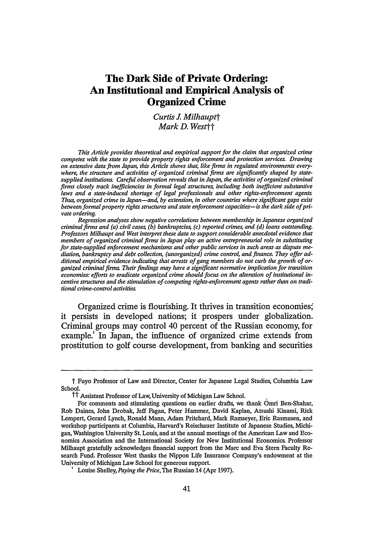in Japan included an amalgam of disenfranchised samurai, hoodlums, and poor peasants. This mismatch between property rights and enforcement mechanisms leads to organized crime-the dark side of private ordering. In order to develop and provide empirical support for this emergent view of organized crime, we thus focus on the institutional environment that provides fertile ground for illicit entrepreneurialism.

Although there is nothing inherently "illicit" about private ordering, there are several reasons to be concerned about the particular brand of entrepreneurialism discussed in this Article. First, the "legitimate" activity of organized criminal firms is often used to launder income from illegal activities and to hide it from tax officials." Second, the activities of organized criminal firms are often accompanied **by** the threat or use of violence." Third, as a growing body of theoretical literature suggests, private and segmented enforcement of property rights can lead to the entrenchment of small-scale inefficient monopolies, high transaction costs, and a "tragedy of coercion" **in** which savings from the provision of collective services are dissipated in contests both among firms and between firms and the state.<sup>35</sup> Finally, regardless of efficiency concerns, private ordering **by** organized criminal firms is qualitatively different from conventional private ordering **by** contract or arbitration. While both avoid resort to governmental institutions, only the latter operates within constraints that are *inherently* legal, because they are legitimized **by** the same political theory that supports the governing order generally.<sup>\*</sup> Similarly, while the activities of both organized criminal groups and the state are backed **by** coer-

<sup>&</sup>lt;sup>"</sup> See, for example, Kazuaki Morimoto, *Mane-Rōndaringu Kisei no Igi to Dōkō* [Trends in and Significance of Money Laundering Regulation], 1543 Kin'yū Hōmu Jijō 6, 9-10 (1999); Hisao *Katoh, Prohibition of the* [sic] *Money Laundering as a Countermeasure Against Organized Crime Groups (Yakuza or Boryokudan) in Japan,7* Keio L Rev 21,34-37 (1994).

See A. Mitchell Polinsky and Steven Shavell, *The Economic Theory of Public Enforcement of Law,* National Bureau of Economic Research Working Paper Series No 6993,3-4 (Mar 1999) (arguing that private enforcement of the law would require force to "gather information, capture violators, and prevent reprisal," but that the state generally does not want to allow private parties to use such force). See also William M. Landes and Richard **A.** Posner, *The Private Enforcement of Law,* 4 **J** Legal Stud 1, 31-33 (1975) (discussing inefficiency of allocating criminal law enforcement to private actors). Compare Gary S. Becker and George **.** Stigler, *Law Enforcement, Malfeasance and Compensation of Enforcers,* 3 **J** Legal Stud 1, 16-17 (1974) (suggesting that the quality of law enforcement can be improved **by** "raising the salaries of public enforcers **...** [and] paying private enforcers for performance, or on a piece-rate basis").

**<sup>&</sup>quot;** Thrdinn Eggertsson, *Economic Behavior and Institutions* 36 (Cambridge 1990); Kai Konard and Stergios Skaperdas, *The Market for Protection and the Origin of the State,* Centre for Economic Policy Research Discussion Paper No 2173 (June 1999) (on file with authors). See also Serguey Braguinsky, *Enforcement of Property Rights During the Russian Transition" Problems and Some Approaches to a New Liberal Solution,* 28 **J** Legal Stud 515 (1999).

**<sup>.</sup>** We are grateful to Gerard Lynch for this insight.